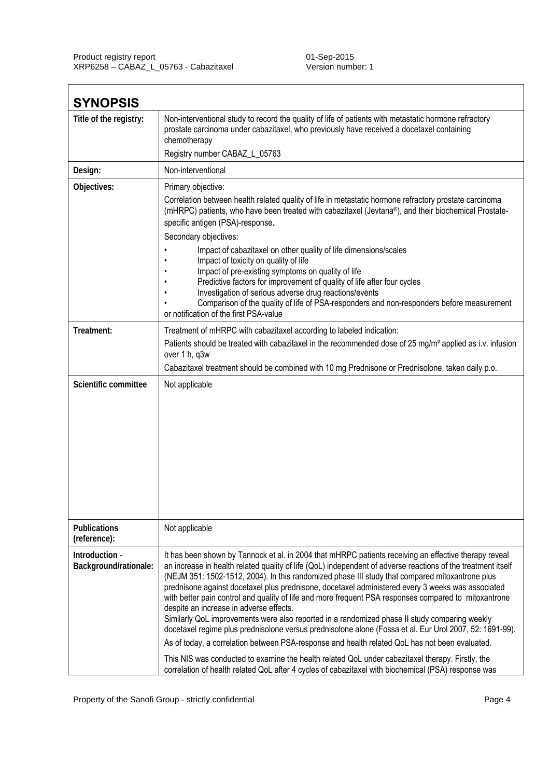| <b>SYNOPSIS</b>                         |                                                                                                                                                                                                                                                                                                                                                                                                                                                                                                                                                                                                                                                                                                                                                                                                                                                                                                                                                                                                                                                                                                            |
|-----------------------------------------|------------------------------------------------------------------------------------------------------------------------------------------------------------------------------------------------------------------------------------------------------------------------------------------------------------------------------------------------------------------------------------------------------------------------------------------------------------------------------------------------------------------------------------------------------------------------------------------------------------------------------------------------------------------------------------------------------------------------------------------------------------------------------------------------------------------------------------------------------------------------------------------------------------------------------------------------------------------------------------------------------------------------------------------------------------------------------------------------------------|
| Title of the registry:                  | Non-interventional study to record the quality of life of patients with metastatic hormone refractory<br>prostate carcinoma under cabazitaxel, who previously have received a docetaxel containing<br>chemotherapy<br>Registry number CABAZ_L_05763                                                                                                                                                                                                                                                                                                                                                                                                                                                                                                                                                                                                                                                                                                                                                                                                                                                        |
| Design:                                 | Non-interventional                                                                                                                                                                                                                                                                                                                                                                                                                                                                                                                                                                                                                                                                                                                                                                                                                                                                                                                                                                                                                                                                                         |
| Objectives:                             | Primary objective:                                                                                                                                                                                                                                                                                                                                                                                                                                                                                                                                                                                                                                                                                                                                                                                                                                                                                                                                                                                                                                                                                         |
|                                         | Correlation between health related quality of life in metastatic hormone refractory prostate carcinoma<br>(mHRPC) patients, who have been treated with cabazitaxel (Jevtana®), and their biochemical Prostate-<br>specific antigen (PSA)-response.<br>Secondary objectives:<br>Impact of cabazitaxel on other quality of life dimensions/scales<br>Impact of toxicity on quality of life                                                                                                                                                                                                                                                                                                                                                                                                                                                                                                                                                                                                                                                                                                                   |
|                                         | Impact of pre-existing symptoms on quality of life                                                                                                                                                                                                                                                                                                                                                                                                                                                                                                                                                                                                                                                                                                                                                                                                                                                                                                                                                                                                                                                         |
|                                         | Predictive factors for improvement of quality of life after four cycles<br>Investigation of serious adverse drug reactions/events                                                                                                                                                                                                                                                                                                                                                                                                                                                                                                                                                                                                                                                                                                                                                                                                                                                                                                                                                                          |
|                                         | Comparison of the quality of life of PSA-responders and non-responders before measurement<br>or notification of the first PSA-value                                                                                                                                                                                                                                                                                                                                                                                                                                                                                                                                                                                                                                                                                                                                                                                                                                                                                                                                                                        |
| Treatment:                              | Treatment of mHRPC with cabazitaxel according to labeled indication:                                                                                                                                                                                                                                                                                                                                                                                                                                                                                                                                                                                                                                                                                                                                                                                                                                                                                                                                                                                                                                       |
|                                         | Patients should be treated with cabazitaxel in the recommended dose of 25 mg/m <sup>2</sup> applied as i.v. infusion<br>over 1 h, q3w                                                                                                                                                                                                                                                                                                                                                                                                                                                                                                                                                                                                                                                                                                                                                                                                                                                                                                                                                                      |
|                                         | Cabazitaxel treatment should be combined with 10 mg Prednisone or Prednisolone, taken daily p.o.                                                                                                                                                                                                                                                                                                                                                                                                                                                                                                                                                                                                                                                                                                                                                                                                                                                                                                                                                                                                           |
| Scientific committee                    | Not applicable                                                                                                                                                                                                                                                                                                                                                                                                                                                                                                                                                                                                                                                                                                                                                                                                                                                                                                                                                                                                                                                                                             |
| <b>Publications</b><br>(reference):     | Not applicable                                                                                                                                                                                                                                                                                                                                                                                                                                                                                                                                                                                                                                                                                                                                                                                                                                                                                                                                                                                                                                                                                             |
| Introduction -<br>Background/rationale: | It has been shown by Tannock et al. in 2004 that mHRPC patients receiving an effective therapy reveal<br>an increase in health related quality of life (QoL) independent of adverse reactions of the treatment itself<br>(NEJM 351: 1502-1512, 2004). In this randomized phase III study that compared mitoxantrone plus<br>prednisone against docetaxel plus prednisone, docetaxel administered every 3 weeks was associated<br>with better pain control and quality of life and more frequent PSA responses compared to mitoxantrone<br>despite an increase in adverse effects.<br>Similarly QoL improvements were also reported in a randomized phase II study comparing weekly<br>docetaxel regime plus prednisolone versus prednisolone alone (Fossa et al. Eur Urol 2007, 52: 1691-99).<br>As of today, a correlation between PSA-response and health related QoL has not been evaluated.<br>This NIS was conducted to examine the health related QoL under cabazitaxel therapy. Firstly, the<br>correlation of health related QoL after 4 cycles of cabazitaxel with biochemical (PSA) response was |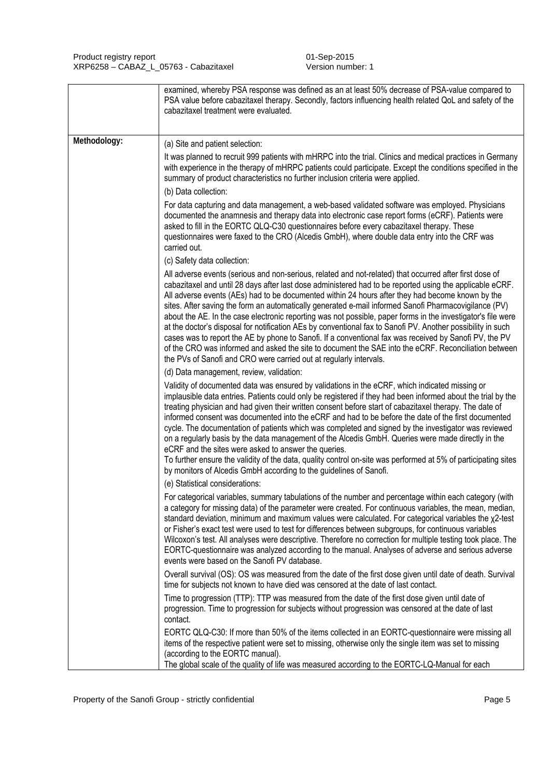|              | examined, whereby PSA response was defined as an at least 50% decrease of PSA-value compared to<br>PSA value before cabazitaxel therapy. Secondly, factors influencing health related QoL and safety of the<br>cabazitaxel treatment were evaluated.                                                                                                                                                                                                                                                                                                                                                                                                                                                                                                                                                                                                                                                                                                    |
|--------------|---------------------------------------------------------------------------------------------------------------------------------------------------------------------------------------------------------------------------------------------------------------------------------------------------------------------------------------------------------------------------------------------------------------------------------------------------------------------------------------------------------------------------------------------------------------------------------------------------------------------------------------------------------------------------------------------------------------------------------------------------------------------------------------------------------------------------------------------------------------------------------------------------------------------------------------------------------|
| Methodology: | (a) Site and patient selection:                                                                                                                                                                                                                                                                                                                                                                                                                                                                                                                                                                                                                                                                                                                                                                                                                                                                                                                         |
|              | It was planned to recruit 999 patients with mHRPC into the trial. Clinics and medical practices in Germany<br>with experience in the therapy of mHRPC patients could participate. Except the conditions specified in the<br>summary of product characteristics no further inclusion criteria were applied.                                                                                                                                                                                                                                                                                                                                                                                                                                                                                                                                                                                                                                              |
|              | (b) Data collection:                                                                                                                                                                                                                                                                                                                                                                                                                                                                                                                                                                                                                                                                                                                                                                                                                                                                                                                                    |
|              | For data capturing and data management, a web-based validated software was employed. Physicians<br>documented the anamnesis and therapy data into electronic case report forms (eCRF). Patients were<br>asked to fill in the EORTC QLQ-C30 questionnaires before every cabazitaxel therapy. These<br>questionnaires were faxed to the CRO (Alcedis GmbH), where double data entry into the CRF was<br>carried out.                                                                                                                                                                                                                                                                                                                                                                                                                                                                                                                                      |
|              | (c) Safety data collection:                                                                                                                                                                                                                                                                                                                                                                                                                                                                                                                                                                                                                                                                                                                                                                                                                                                                                                                             |
|              | All adverse events (serious and non-serious, related and not-related) that occurred after first dose of<br>cabazitaxel and until 28 days after last dose administered had to be reported using the applicable eCRF.<br>All adverse events (AEs) had to be documented within 24 hours after they had become known by the<br>sites. After saving the form an automatically generated e-mail informed Sanofi Pharmacovigilance (PV)<br>about the AE. In the case electronic reporting was not possible, paper forms in the investigator's file were<br>at the doctor's disposal for notification AEs by conventional fax to Sanofi PV. Another possibility in such<br>cases was to report the AE by phone to Sanofi. If a conventional fax was received by Sanofi PV, the PV<br>of the CRO was informed and asked the site to document the SAE into the eCRF. Reconciliation between<br>the PVs of Sanofi and CRO were carried out at regularly intervals. |
|              | (d) Data management, review, validation:                                                                                                                                                                                                                                                                                                                                                                                                                                                                                                                                                                                                                                                                                                                                                                                                                                                                                                                |
|              | Validity of documented data was ensured by validations in the eCRF, which indicated missing or<br>implausible data entries. Patients could only be registered if they had been informed about the trial by the<br>treating physician and had given their written consent before start of cabazitaxel therapy. The date of<br>informed consent was documented into the eCRF and had to be before the date of the first documented<br>cycle. The documentation of patients which was completed and signed by the investigator was reviewed<br>on a regularly basis by the data management of the Alcedis GmbH. Queries were made directly in the<br>eCRF and the sites were asked to answer the queries.<br>To further ensure the validity of the data, quality control on-site was performed at 5% of participating sites<br>by monitors of Alcedis GmbH according to the guidelines of Sanofi.                                                          |
|              | (e) Statistical considerations:                                                                                                                                                                                                                                                                                                                                                                                                                                                                                                                                                                                                                                                                                                                                                                                                                                                                                                                         |
|              | For categorical variables, summary tabulations of the number and percentage within each category (with<br>a category for missing data) of the parameter were created. For continuous variables, the mean, median,<br>standard deviation, minimum and maximum values were calculated. For categorical variables the x2-test<br>or Fisher's exact test were used to test for differences between subgroups, for continuous variables<br>Wilcoxon's test. All analyses were descriptive. Therefore no correction for multiple testing took place. The<br>EORTC-questionnaire was analyzed according to the manual. Analyses of adverse and serious adverse<br>events were based on the Sanofi PV database.                                                                                                                                                                                                                                                 |
|              | Overall survival (OS): OS was measured from the date of the first dose given until date of death. Survival<br>time for subjects not known to have died was censored at the date of last contact.                                                                                                                                                                                                                                                                                                                                                                                                                                                                                                                                                                                                                                                                                                                                                        |
|              | Time to progression (TTP): TTP was measured from the date of the first dose given until date of<br>progression. Time to progression for subjects without progression was censored at the date of last<br>contact.                                                                                                                                                                                                                                                                                                                                                                                                                                                                                                                                                                                                                                                                                                                                       |
|              | EORTC QLQ-C30: If more than 50% of the items collected in an EORTC-questionnaire were missing all<br>items of the respective patient were set to missing, otherwise only the single item was set to missing<br>(according to the EORTC manual).<br>The global scale of the quality of life was measured according to the EORTC-LQ-Manual for each                                                                                                                                                                                                                                                                                                                                                                                                                                                                                                                                                                                                       |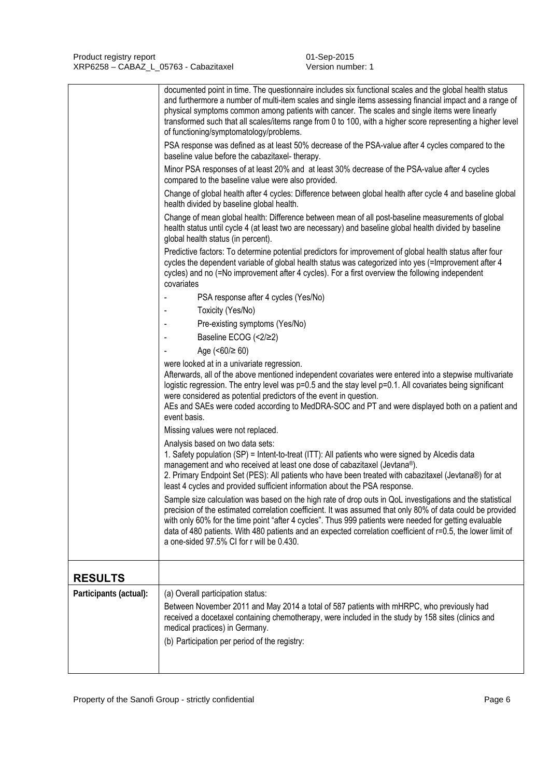|                        | documented point in time. The questionnaire includes six functional scales and the global health status<br>and furthermore a number of multi-item scales and single items assessing financial impact and a range of<br>physical symptoms common among patients with cancer. The scales and single items were linearly<br>transformed such that all scales/items range from 0 to 100, with a higher score representing a higher level<br>of functioning/symptomatology/problems.<br>PSA response was defined as at least 50% decrease of the PSA-value after 4 cycles compared to the<br>baseline value before the cabazitaxel-therapy.<br>Minor PSA responses of at least 20% and at least 30% decrease of the PSA-value after 4 cycles<br>compared to the baseline value were also provided.<br>Change of global health after 4 cycles: Difference between global health after cycle 4 and baseline global<br>health divided by baseline global health.<br>Change of mean global health: Difference between mean of all post-baseline measurements of global<br>health status until cycle 4 (at least two are necessary) and baseline global health divided by baseline<br>global health status (in percent).<br>Predictive factors: To determine potential predictors for improvement of global health status after four<br>cycles the dependent variable of global health status was categorized into yes (=Improvement after 4<br>cycles) and no (=No improvement after 4 cycles). For a first overview the following independent<br>covariates<br>PSA response after 4 cycles (Yes/No)<br>Toxicity (Yes/No)<br>$\blacksquare$<br>Pre-existing symptoms (Yes/No)<br>Baseline ECOG (<2/≥2)<br>Age $(50/260)$<br>were looked at in a univariate regression.<br>Afterwards, all of the above mentioned independent covariates were entered into a stepwise multivariate<br>logistic regression. The entry level was p=0.5 and the stay level p=0.1. All covariates being significant<br>were considered as potential predictors of the event in question.<br>AEs and SAEs were coded according to MedDRA-SOC and PT and were displayed both on a patient and<br>event basis.<br>Missing values were not replaced.<br>Analysis based on two data sets:<br>1. Safety population (SP) = Intent-to-treat (ITT): All patients who were signed by Alcedis data<br>management and who received at least one dose of cabazitaxel (Jevtana®). |
|------------------------|---------------------------------------------------------------------------------------------------------------------------------------------------------------------------------------------------------------------------------------------------------------------------------------------------------------------------------------------------------------------------------------------------------------------------------------------------------------------------------------------------------------------------------------------------------------------------------------------------------------------------------------------------------------------------------------------------------------------------------------------------------------------------------------------------------------------------------------------------------------------------------------------------------------------------------------------------------------------------------------------------------------------------------------------------------------------------------------------------------------------------------------------------------------------------------------------------------------------------------------------------------------------------------------------------------------------------------------------------------------------------------------------------------------------------------------------------------------------------------------------------------------------------------------------------------------------------------------------------------------------------------------------------------------------------------------------------------------------------------------------------------------------------------------------------------------------------------------------------------------------------------------------------------------------------------------------------------------------------------------------------------------------------------------------------------------------------------------------------------------------------------------------------------------------------------------------------------------------------------------------------------------------------------------------------------------------------------------------------------------------------------------------------------------------------------------|
|                        | 2. Primary Endpoint Set (PES): All patients who have been treated with cabazitaxel (Jevtana®) for at<br>least 4 cycles and provided sufficient information about the PSA response.                                                                                                                                                                                                                                                                                                                                                                                                                                                                                                                                                                                                                                                                                                                                                                                                                                                                                                                                                                                                                                                                                                                                                                                                                                                                                                                                                                                                                                                                                                                                                                                                                                                                                                                                                                                                                                                                                                                                                                                                                                                                                                                                                                                                                                                    |
|                        | Sample size calculation was based on the high rate of drop outs in QoL investigations and the statistical<br>precision of the estimated correlation coefficient. It was assumed that only 80% of data could be provided<br>with only 60% for the time point "after 4 cycles". Thus 999 patients were needed for getting evaluable<br>data of 480 patients. With 480 patients and an expected correlation coefficient of r=0.5, the lower limit of<br>a one-sided 97.5% CI for r will be 0.430.                                                                                                                                                                                                                                                                                                                                                                                                                                                                                                                                                                                                                                                                                                                                                                                                                                                                                                                                                                                                                                                                                                                                                                                                                                                                                                                                                                                                                                                                                                                                                                                                                                                                                                                                                                                                                                                                                                                                        |
| <b>RESULTS</b>         |                                                                                                                                                                                                                                                                                                                                                                                                                                                                                                                                                                                                                                                                                                                                                                                                                                                                                                                                                                                                                                                                                                                                                                                                                                                                                                                                                                                                                                                                                                                                                                                                                                                                                                                                                                                                                                                                                                                                                                                                                                                                                                                                                                                                                                                                                                                                                                                                                                       |
| Participants (actual): | (a) Overall participation status:<br>Between November 2011 and May 2014 a total of 587 patients with mHRPC, who previously had<br>received a docetaxel containing chemotherapy, were included in the study by 158 sites (clinics and<br>medical practices) in Germany.<br>(b) Participation per period of the registry:                                                                                                                                                                                                                                                                                                                                                                                                                                                                                                                                                                                                                                                                                                                                                                                                                                                                                                                                                                                                                                                                                                                                                                                                                                                                                                                                                                                                                                                                                                                                                                                                                                                                                                                                                                                                                                                                                                                                                                                                                                                                                                               |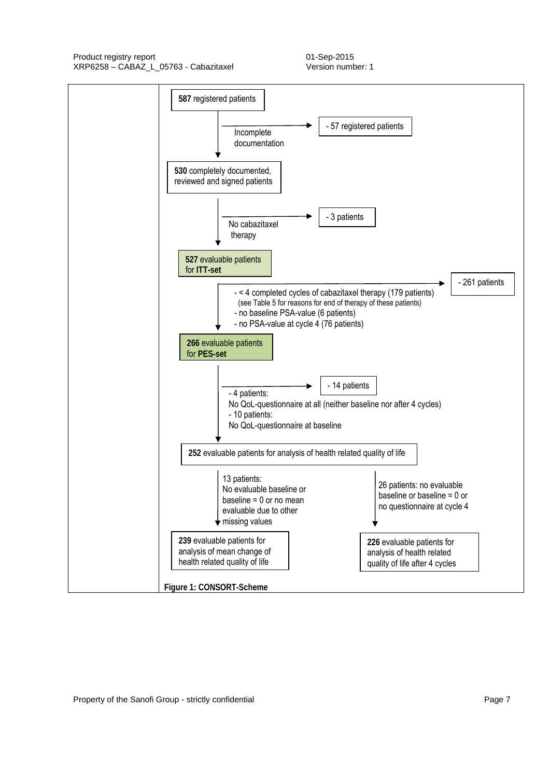Product registry report 11 and 2015 XRP6258 – CABAZ\_L\_05763 - Cabazitaxel Version number: 1

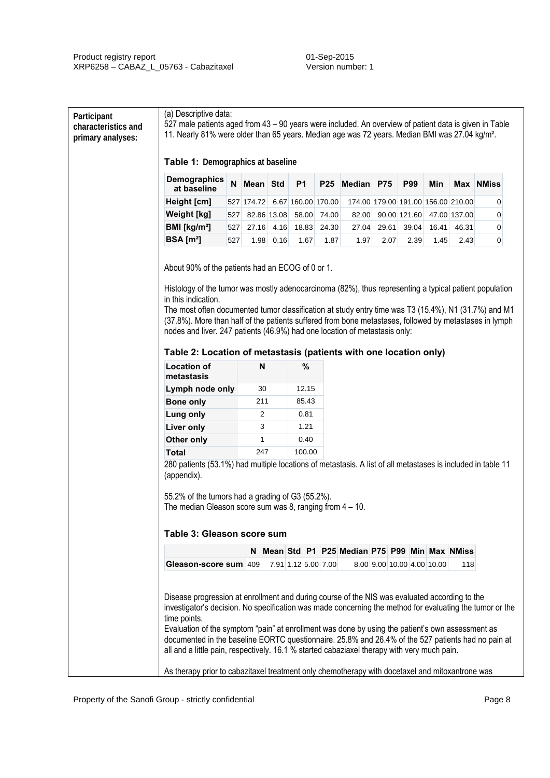| <b>Demographics</b><br>at baseline                                                                                                                                                                                                                                                                                                                                                                                            | N   | Mean Std       |      | <b>P1</b>          | <b>P25</b> | Median P75                                     |       | P99          | Min   |              | <b>Max NMiss</b> |
|-------------------------------------------------------------------------------------------------------------------------------------------------------------------------------------------------------------------------------------------------------------------------------------------------------------------------------------------------------------------------------------------------------------------------------|-----|----------------|------|--------------------|------------|------------------------------------------------|-------|--------------|-------|--------------|------------------|
| Height [cm]                                                                                                                                                                                                                                                                                                                                                                                                                   |     | 527 174.72     |      | 6.67 160.00 170.00 |            | 174.00 179.00 191.00 156.00 210.00             |       |              |       |              | 0                |
| <b>Weight [kg]</b>                                                                                                                                                                                                                                                                                                                                                                                                            | 527 | 82.86 13.08    |      | 58.00              | 74.00      | 82.00                                          |       | 90.00 121.60 |       | 47.00 137.00 | 0                |
| BMI [kg/m <sup>2</sup> ]                                                                                                                                                                                                                                                                                                                                                                                                      | 527 | 27.16          | 4.16 | 18.83              | 24.30      | 27.04                                          | 29.61 | 39.04        | 16.41 | 46.31        | $\overline{0}$   |
| BSA [m <sup>2</sup> ]                                                                                                                                                                                                                                                                                                                                                                                                         | 527 | 1.98           | 0.16 | 1.67               | 1.87       | 1.97                                           | 2.07  | 2.39         | 1.45  | 2.43         | $\pmb{0}$        |
| Histology of the tumor was mostly adenocarcinoma (82%), thus representing a typical patient population<br>in this indication.<br>The most often documented tumor classification at study entry time was T3 (15.4%), N1 (31.7%) and M1<br>(37.8%). More than half of the patients suffered from bone metastases, followed by metastases in lymph<br>nodes and liver. 247 patients (46.9%) had one location of metastasis only: |     |                |      |                    |            |                                                |       |              |       |              |                  |
| Table 2: Location of metastasis (patients with one location only)                                                                                                                                                                                                                                                                                                                                                             |     |                |      |                    |            |                                                |       |              |       |              |                  |
| <b>Location of</b>                                                                                                                                                                                                                                                                                                                                                                                                            |     | N              |      | $\%$               |            |                                                |       |              |       |              |                  |
| metastasis                                                                                                                                                                                                                                                                                                                                                                                                                    |     |                |      |                    |            |                                                |       |              |       |              |                  |
| Lymph node only                                                                                                                                                                                                                                                                                                                                                                                                               |     | 30             |      | 12.15              |            |                                                |       |              |       |              |                  |
| <b>Bone only</b>                                                                                                                                                                                                                                                                                                                                                                                                              |     | 211            |      | 85.43              |            |                                                |       |              |       |              |                  |
| <b>Lung only</b>                                                                                                                                                                                                                                                                                                                                                                                                              |     | $\overline{2}$ |      | 0.81               |            |                                                |       |              |       |              |                  |
| <b>Liver only</b>                                                                                                                                                                                                                                                                                                                                                                                                             |     | 3              |      | 1.21               |            |                                                |       |              |       |              |                  |
| Other only                                                                                                                                                                                                                                                                                                                                                                                                                    |     | 1              |      | 0.40               |            |                                                |       |              |       |              |                  |
| <b>Total</b><br>280 patients (53.1%) had multiple locations of metastasis. A list of all metastases is included in table 11                                                                                                                                                                                                                                                                                                   |     | 247            |      | 100.00             |            |                                                |       |              |       |              |                  |
| (appendix).<br>55.2% of the tumors had a grading of G3 (55.2%).<br>The median Gleason score sum was 8, ranging from $4 - 10$ .<br>Table 3: Gleason score sum                                                                                                                                                                                                                                                                  |     |                |      |                    |            |                                                |       |              |       |              |                  |
|                                                                                                                                                                                                                                                                                                                                                                                                                               |     |                |      |                    |            | N Mean Std P1 P25 Median P75 P99 Min Max NMiss |       |              |       |              |                  |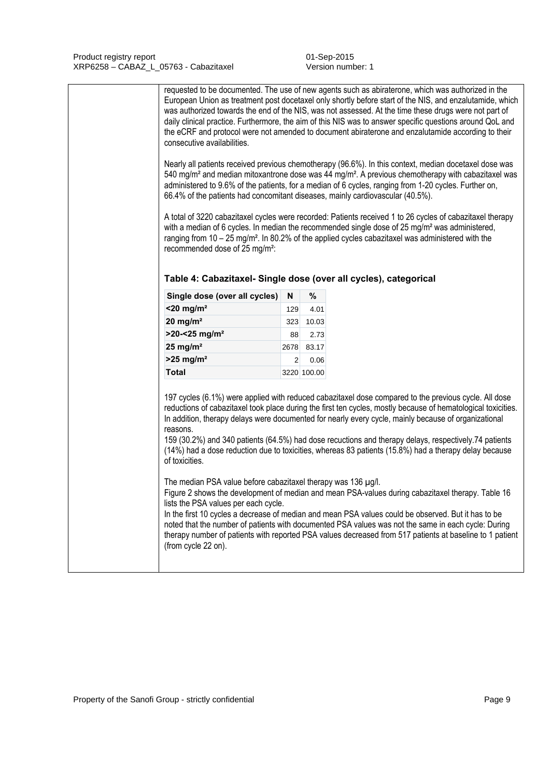| consecutive availabilities.<br>66.4% of the patients had concomitant diseases, mainly cardiovascular (40.5%).<br>recommended dose of 25 mg/m <sup>2</sup> :<br>Table 4: Cabazitaxel- Single dose (over all cycles), categorical |                |             | requested to be documented. The use of new agents such as abiraterone, which was authorized in the<br>European Union as treatment post docetaxel only shortly before start of the NIS, and enzalutamide, which<br>was authorized towards the end of the NIS, was not assessed. At the time these drugs were not part of<br>daily clinical practice. Furthermore, the aim of this NIS was to answer specific questions around QoL and<br>the eCRF and protocol were not amended to document abiraterone and enzalutamide according to their<br>Nearly all patients received previous chemotherapy (96.6%). In this context, median docetaxel dose was<br>540 mg/m <sup>2</sup> and median mitoxantrone dose was 44 mg/m <sup>2</sup> . A previous chemotherapy with cabazitaxel was<br>administered to 9.6% of the patients, for a median of 6 cycles, ranging from 1-20 cycles. Further on,<br>A total of 3220 cabazitaxel cycles were recorded: Patients received 1 to 26 cycles of cabazitaxel therapy<br>with a median of 6 cycles. In median the recommended single dose of $25 \text{ mg/m}^2$ was administered,<br>ranging from 10 - 25 mg/m <sup>2</sup> . In 80.2% of the applied cycles cabazitaxel was administered with the |
|---------------------------------------------------------------------------------------------------------------------------------------------------------------------------------------------------------------------------------|----------------|-------------|----------------------------------------------------------------------------------------------------------------------------------------------------------------------------------------------------------------------------------------------------------------------------------------------------------------------------------------------------------------------------------------------------------------------------------------------------------------------------------------------------------------------------------------------------------------------------------------------------------------------------------------------------------------------------------------------------------------------------------------------------------------------------------------------------------------------------------------------------------------------------------------------------------------------------------------------------------------------------------------------------------------------------------------------------------------------------------------------------------------------------------------------------------------------------------------------------------------------------------------|
| Single dose (over all cycles)                                                                                                                                                                                                   | N              | $\%$        |                                                                                                                                                                                                                                                                                                                                                                                                                                                                                                                                                                                                                                                                                                                                                                                                                                                                                                                                                                                                                                                                                                                                                                                                                                        |
| $<$ 20 mg/m <sup>2</sup>                                                                                                                                                                                                        | 129            | 4.01        |                                                                                                                                                                                                                                                                                                                                                                                                                                                                                                                                                                                                                                                                                                                                                                                                                                                                                                                                                                                                                                                                                                                                                                                                                                        |
| 20 mg/m <sup>2</sup>                                                                                                                                                                                                            | 323            | 10.03       |                                                                                                                                                                                                                                                                                                                                                                                                                                                                                                                                                                                                                                                                                                                                                                                                                                                                                                                                                                                                                                                                                                                                                                                                                                        |
| $>20 - 25$ mg/m <sup>2</sup>                                                                                                                                                                                                    | 88             | 2.73        |                                                                                                                                                                                                                                                                                                                                                                                                                                                                                                                                                                                                                                                                                                                                                                                                                                                                                                                                                                                                                                                                                                                                                                                                                                        |
| 25 mg/ $m2$                                                                                                                                                                                                                     | 2678           | 83.17       |                                                                                                                                                                                                                                                                                                                                                                                                                                                                                                                                                                                                                                                                                                                                                                                                                                                                                                                                                                                                                                                                                                                                                                                                                                        |
| $>25$ mg/m <sup>2</sup>                                                                                                                                                                                                         | $\overline{2}$ | 0.06        |                                                                                                                                                                                                                                                                                                                                                                                                                                                                                                                                                                                                                                                                                                                                                                                                                                                                                                                                                                                                                                                                                                                                                                                                                                        |
| <b>Total</b>                                                                                                                                                                                                                    |                | 3220 100.00 |                                                                                                                                                                                                                                                                                                                                                                                                                                                                                                                                                                                                                                                                                                                                                                                                                                                                                                                                                                                                                                                                                                                                                                                                                                        |
| reasons.<br>of toxicities.                                                                                                                                                                                                      |                |             | 197 cycles (6.1%) were applied with reduced cabazitaxel dose compared to the previous cycle. All dose<br>reductions of cabazitaxel took place during the first ten cycles, mostly because of hematological toxicities.<br>In addition, therapy delays were documented for nearly every cycle, mainly because of organizational<br>159 (30.2%) and 340 patients (64.5%) had dose recuctions and therapy delays, respectively.74 patients<br>(14%) had a dose reduction due to toxicities, whereas 83 patients (15.8%) had a therapy delay because                                                                                                                                                                                                                                                                                                                                                                                                                                                                                                                                                                                                                                                                                       |
| The median PSA value before cabazitaxel therapy was 136 µg/l.<br>lists the PSA values per each cycle.<br>(from cycle 22 on).                                                                                                    |                |             | Figure 2 shows the development of median and mean PSA-values during cabazitaxel therapy. Table 16<br>In the first 10 cycles a decrease of median and mean PSA values could be observed. But it has to be<br>noted that the number of patients with documented PSA values was not the same in each cycle: During<br>therapy number of patients with reported PSA values decreased from 517 patients at baseline to 1 patient                                                                                                                                                                                                                                                                                                                                                                                                                                                                                                                                                                                                                                                                                                                                                                                                            |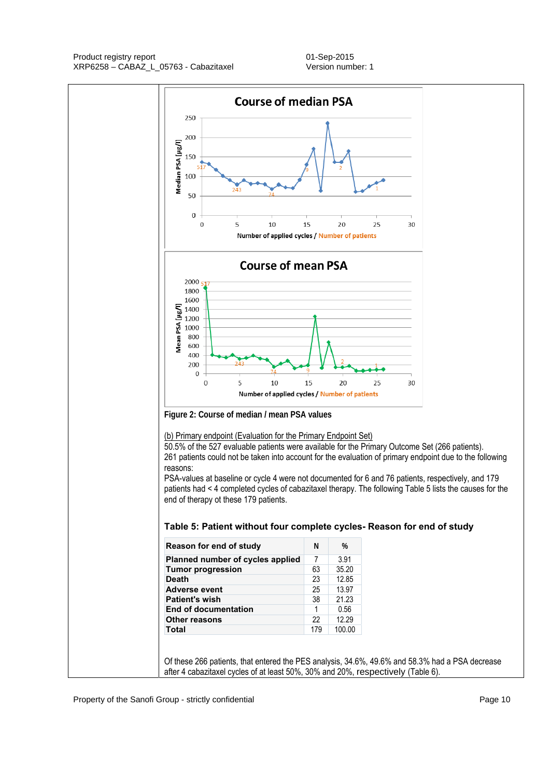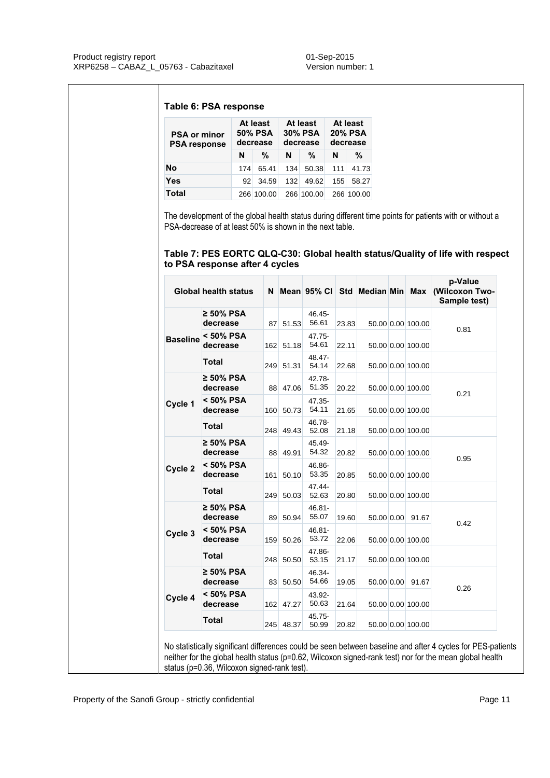## **Table 6: PSA response**

| <b>PSA or minor</b><br><b>PSA response</b> |     | At least<br>50% PSA<br>decrease |     | At least<br><b>30% PSA</b><br>decrease | At least<br><b>20% PSA</b><br>decrease |            |  |
|--------------------------------------------|-----|---------------------------------|-----|----------------------------------------|----------------------------------------|------------|--|
|                                            | N   | %                               | N   | %                                      | N                                      | %          |  |
| No                                         | 174 | 65.41                           | 134 | 50.38                                  | 111                                    | 41.73      |  |
| <b>Yes</b>                                 | 92  | 34.59                           | 132 | 49.62                                  | 155                                    | 58.27      |  |
| Total                                      |     | 266 100.00                      |     | 266 100.00                             |                                        | 266 100.00 |  |

The development of the global health status during different time points for patients with or without a PSA-decrease of at least 50% is shown in the next table.

## **Table 7: PES EORTC QLQ-C30: Global health status/Quality of life with respect to PSA response after 4 cycles**

|                 | <b>Global health status</b> |           |                    |       |            |                   | p-Value<br>N Mean 95% CI Std Median Min Max (Wilcoxon Two-<br>Sample test) |
|-----------------|-----------------------------|-----------|--------------------|-------|------------|-------------------|----------------------------------------------------------------------------|
|                 | $\geq 50\%$ PSA<br>decrease | 87 51.53  | 46.45-<br>56.61    | 23.83 |            | 50.00 0.00 100.00 | 0.81                                                                       |
| <b>Baseline</b> | < 50% PSA<br>decrease       | 162 51.18 | 47.75-<br>54.61    | 22.11 |            | 50.00 0.00 100.00 |                                                                            |
|                 | <b>Total</b>                | 249 51.31 | 48.47-<br>54.14    | 22.68 |            | 50.00 0.00 100.00 |                                                                            |
|                 | $\geq 50\%$ PSA<br>decrease | 88 47.06  | 42.78-<br>51.35    | 20.22 |            | 50.00 0.00 100.00 | 0.21                                                                       |
| Cycle 1         | < 50% PSA<br>decrease       | 160 50.73 | 47.35-<br>54.11    | 21.65 |            | 50.00 0.00 100.00 |                                                                            |
|                 | <b>Total</b>                | 248 49.43 | 46.78-<br>52.08    | 21.18 |            | 50.00 0.00 100.00 |                                                                            |
|                 | ≥ 50% PSA<br>decrease       | 88 49.91  | 45.49-<br>54.32    | 20.82 |            | 50.00 0.00 100.00 | 0.95                                                                       |
| Cycle 2         | < 50% PSA<br>decrease       | 161 50.10 | 46.86-<br>53.35    | 20.85 |            | 50.00 0.00 100.00 |                                                                            |
|                 | <b>Total</b>                | 249 50.03 | 47.44-<br>52.63    | 20.80 |            | 50.00 0.00 100.00 |                                                                            |
|                 | $\geq 50\%$ PSA<br>decrease | 89 50.94  | 46.81-<br>55.07    | 19.60 | 50.00 0.00 | 91.67             |                                                                            |
| Cycle 3         | < 50% PSA<br>decrease       | 159 50.26 | $46.81 -$<br>53.72 | 22.06 |            | 50.00 0.00 100.00 | 0.42                                                                       |
|                 | <b>Total</b>                | 248 50.50 | 47.86-<br>53.15    | 21.17 |            | 50.00 0.00 100.00 |                                                                            |
|                 | $\geq 50\%$ PSA<br>decrease | 83 50.50  | 46.34-<br>54.66    | 19.05 |            | 50.00 0.00 91.67  |                                                                            |
| Cycle 4         | < 50% PSA<br>decrease       | 162 47.27 | 43.92-<br>50.63    | 21.64 |            | 50.00 0.00 100.00 | 0.26                                                                       |
|                 | <b>Total</b>                | 245 48.37 | $45.75 -$<br>50.99 | 20.82 |            | 50.00 0.00 100.00 |                                                                            |

No statistically significant differences could be seen between baseline and after 4 cycles for PES-patients neither for the global health status (p=0.62, Wilcoxon signed-rank test) nor for the mean global health status (p=0.36, Wilcoxon signed-rank test).

Property of the Sanofi Group - strictly confidential Page 11 and 200 and 200 and 200 and 200 and 200 and 200 and 200 and 200 and 200 and 200 and 200 and 200 and 200 and 200 and 200 and 200 and 200 and 200 and 200 and 200 a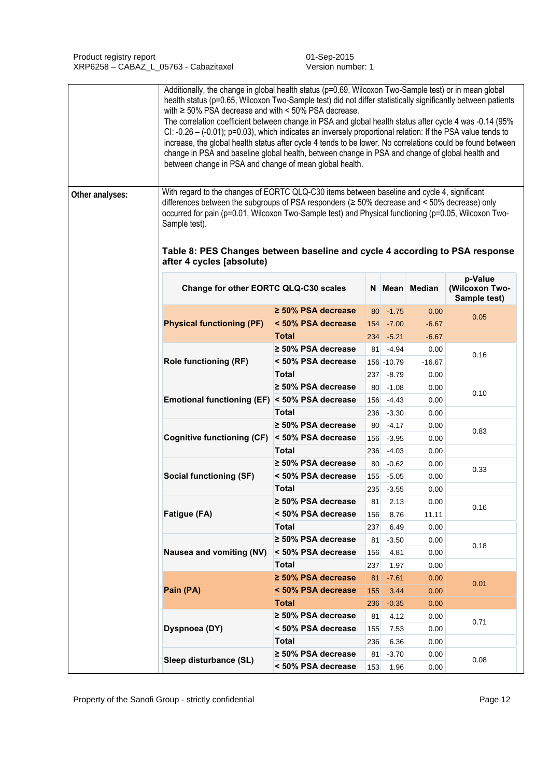|                 | Additionally, the change in global health status (p=0.69, Wilcoxon Two-Sample test) or in mean global<br>health status (p=0.65, Wilcoxon Two-Sample test) did not differ statistically significantly between patients<br>with $\ge$ 50% PSA decrease and with < 50% PSA decrease.<br>195%). The correlation coefficient between change in PSA and global health status after cycle 4 was -0.14 (95%<br>CI: -0.26 - (-0.01); p=0.03), which indicates an inversely proportional relation: If the PSA value tends to<br>increase, the global health status after cycle 4 tends to be lower. No correlations could be found between<br>change in PSA and baseline global health, between change in PSA and change of global health and<br>between change in PSA and change of mean global health. |                                    |           |                    |               |                                           |
|-----------------|------------------------------------------------------------------------------------------------------------------------------------------------------------------------------------------------------------------------------------------------------------------------------------------------------------------------------------------------------------------------------------------------------------------------------------------------------------------------------------------------------------------------------------------------------------------------------------------------------------------------------------------------------------------------------------------------------------------------------------------------------------------------------------------------|------------------------------------|-----------|--------------------|---------------|-------------------------------------------|
| Other analyses: | With regard to the changes of EORTC QLQ-C30 items between baseline and cycle 4, significant<br>differences between the subgroups of PSA responders ( $\geq$ 50% decrease and < 50% decrease) only<br>occurred for pain (p=0.01, Wilcoxon Two-Sample test) and Physical functioning (p=0.05, Wilcoxon Two-<br>Sample test).                                                                                                                                                                                                                                                                                                                                                                                                                                                                     |                                    |           |                    |               |                                           |
|                 | Table 8: PES Changes between baseline and cycle 4 according to PSA response<br>after 4 cycles [absolute)                                                                                                                                                                                                                                                                                                                                                                                                                                                                                                                                                                                                                                                                                       |                                    |           |                    |               |                                           |
|                 | Change for other EORTC QLQ-C30 scales                                                                                                                                                                                                                                                                                                                                                                                                                                                                                                                                                                                                                                                                                                                                                          |                                    |           |                    | N Mean Median | p-Value<br>(Wilcoxon Two-<br>Sample test) |
|                 |                                                                                                                                                                                                                                                                                                                                                                                                                                                                                                                                                                                                                                                                                                                                                                                                | $\geq$ 50% PSA decrease            |           | $80 - 1.75$        | 0.00          | 0.05                                      |
|                 | <b>Physical functioning (PF)</b>                                                                                                                                                                                                                                                                                                                                                                                                                                                                                                                                                                                                                                                                                                                                                               | < 50% PSA decrease                 |           | 154 - 7.00         | $-6.67$       |                                           |
|                 |                                                                                                                                                                                                                                                                                                                                                                                                                                                                                                                                                                                                                                                                                                                                                                                                | <b>Total</b>                       |           | $234 - 5.21$       | $-6.67$       |                                           |
|                 |                                                                                                                                                                                                                                                                                                                                                                                                                                                                                                                                                                                                                                                                                                                                                                                                | $\geq$ 50% PSA decrease            | 81        | $-4.94$            | 0.00          | 0.16                                      |
|                 | <b>Role functioning (RF)</b>                                                                                                                                                                                                                                                                                                                                                                                                                                                                                                                                                                                                                                                                                                                                                                   | < 50% PSA decrease                 |           | 156 - 10.79        | $-16.67$      |                                           |
|                 |                                                                                                                                                                                                                                                                                                                                                                                                                                                                                                                                                                                                                                                                                                                                                                                                | <b>Total</b>                       | 237       | $-8.79$            | 0.00          |                                           |
|                 |                                                                                                                                                                                                                                                                                                                                                                                                                                                                                                                                                                                                                                                                                                                                                                                                | $\geq$ 50% PSA decrease            | 80        | $-1.08$            | 0.00          | 0.10                                      |
|                 | Emotional functioning (EF) < 50% PSA decrease                                                                                                                                                                                                                                                                                                                                                                                                                                                                                                                                                                                                                                                                                                                                                  |                                    | 156       | $-4.43$            | 0.00          |                                           |
|                 |                                                                                                                                                                                                                                                                                                                                                                                                                                                                                                                                                                                                                                                                                                                                                                                                | <b>Total</b>                       | 236       | $-3.30$            | 0.00          |                                           |
|                 | <b>Cognitive functioning (CF)</b>                                                                                                                                                                                                                                                                                                                                                                                                                                                                                                                                                                                                                                                                                                                                                              | $\geq$ 50% PSA decrease            | 80        | $-4.17$            | 0.00          | 0.83                                      |
|                 |                                                                                                                                                                                                                                                                                                                                                                                                                                                                                                                                                                                                                                                                                                                                                                                                | < 50% PSA decrease<br><b>Total</b> | 156       | $-3.95$            | 0.00          |                                           |
|                 |                                                                                                                                                                                                                                                                                                                                                                                                                                                                                                                                                                                                                                                                                                                                                                                                | $\geq$ 50% PSA decrease            | 236<br>80 | $-4.03$            | 0.00          |                                           |
|                 | <b>Social functioning (SF)</b>                                                                                                                                                                                                                                                                                                                                                                                                                                                                                                                                                                                                                                                                                                                                                                 | < 50% PSA decrease                 | 155       | $-0.62$<br>$-5.05$ | 0.00<br>0.00  | 0.33                                      |
|                 |                                                                                                                                                                                                                                                                                                                                                                                                                                                                                                                                                                                                                                                                                                                                                                                                | <b>Total</b>                       |           | $235 - 3.55$       | 0.00          |                                           |
|                 |                                                                                                                                                                                                                                                                                                                                                                                                                                                                                                                                                                                                                                                                                                                                                                                                | $\geq$ 50% PSA decrease            | 81        | 2.13               | 0.00          |                                           |
|                 | Fatigue (FA)                                                                                                                                                                                                                                                                                                                                                                                                                                                                                                                                                                                                                                                                                                                                                                                   | < 50% PSA decrease                 | 156       | 8.76               | 11.11         | 0.16                                      |
|                 |                                                                                                                                                                                                                                                                                                                                                                                                                                                                                                                                                                                                                                                                                                                                                                                                | <b>Total</b>                       | 237       | 6.49               | 0.00          |                                           |
|                 |                                                                                                                                                                                                                                                                                                                                                                                                                                                                                                                                                                                                                                                                                                                                                                                                | $\geq$ 50% PSA decrease            | 81        | $-3.50$            | 0.00          |                                           |
|                 | Nausea and vomiting (NV)                                                                                                                                                                                                                                                                                                                                                                                                                                                                                                                                                                                                                                                                                                                                                                       | < 50% PSA decrease                 | 156       | 4.81               | 0.00          | 0.18                                      |
|                 |                                                                                                                                                                                                                                                                                                                                                                                                                                                                                                                                                                                                                                                                                                                                                                                                | <b>Total</b>                       | 237       | 1.97               | 0.00          |                                           |
|                 |                                                                                                                                                                                                                                                                                                                                                                                                                                                                                                                                                                                                                                                                                                                                                                                                | $\geq 50\%$ PSA decrease           | 81        | $-7.61$            | 0.00          |                                           |
|                 | Pain (PA)                                                                                                                                                                                                                                                                                                                                                                                                                                                                                                                                                                                                                                                                                                                                                                                      | < 50% PSA decrease                 | 155       | 3.44               | 0.00          | 0.01                                      |
|                 |                                                                                                                                                                                                                                                                                                                                                                                                                                                                                                                                                                                                                                                                                                                                                                                                | <b>Total</b>                       | 236       | $-0.35$            | 0.00          |                                           |
|                 |                                                                                                                                                                                                                                                                                                                                                                                                                                                                                                                                                                                                                                                                                                                                                                                                | $\geq$ 50% PSA decrease            | 81        | 4.12               | 0.00          |                                           |
|                 | Dyspnoea (DY)                                                                                                                                                                                                                                                                                                                                                                                                                                                                                                                                                                                                                                                                                                                                                                                  | < 50% PSA decrease                 | 155       | 7.53               | 0.00          | 0.71                                      |
|                 |                                                                                                                                                                                                                                                                                                                                                                                                                                                                                                                                                                                                                                                                                                                                                                                                | <b>Total</b>                       | 236       | 6.36               | 0.00          |                                           |
|                 |                                                                                                                                                                                                                                                                                                                                                                                                                                                                                                                                                                                                                                                                                                                                                                                                | $\geq$ 50% PSA decrease            | 81        | $-3.70$            | 0.00          |                                           |
|                 | Sleep disturbance (SL)                                                                                                                                                                                                                                                                                                                                                                                                                                                                                                                                                                                                                                                                                                                                                                         | < 50% PSA decrease                 | 153       | 1.96               | 0.00          | 0.08                                      |

Property of the Sanofi Group - strictly confidential Property of the Sanofi Group - strictly confidential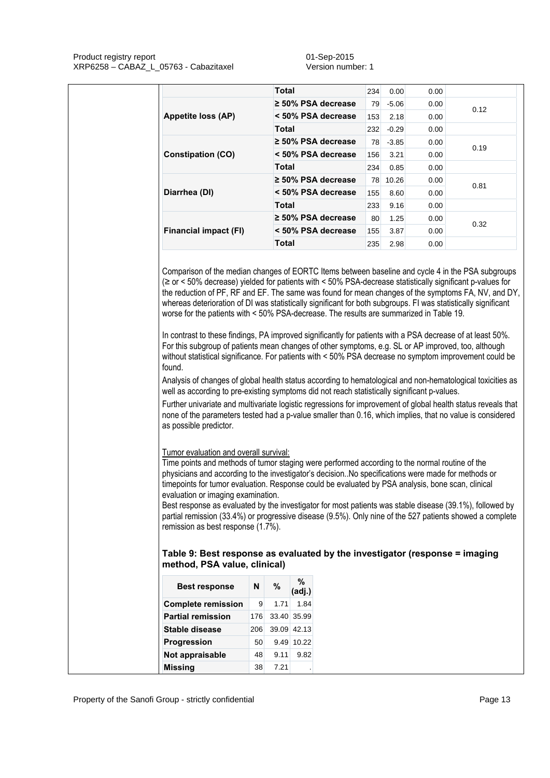Product registry report and the contract of the Contract of the O1-Sep-2015 XRP6258 – CABAZ\_L\_05763 - Cabazitaxel version number: 1

|                                                                                                                                                                                                                                                                                                                                                                                                                                                                                                                                                                                                                                                                                                                                                                                                                                                                                                                                                                                                                                                                                                                                 | <b>Total</b>           |                            | 234 | 0.00    | 0.00 |      |  |  |
|---------------------------------------------------------------------------------------------------------------------------------------------------------------------------------------------------------------------------------------------------------------------------------------------------------------------------------------------------------------------------------------------------------------------------------------------------------------------------------------------------------------------------------------------------------------------------------------------------------------------------------------------------------------------------------------------------------------------------------------------------------------------------------------------------------------------------------------------------------------------------------------------------------------------------------------------------------------------------------------------------------------------------------------------------------------------------------------------------------------------------------|------------------------|----------------------------|-----|---------|------|------|--|--|
|                                                                                                                                                                                                                                                                                                                                                                                                                                                                                                                                                                                                                                                                                                                                                                                                                                                                                                                                                                                                                                                                                                                                 |                        | $\geq$ 50% PSA decrease    | 79  | $-5.06$ | 0.00 | 0.12 |  |  |
| Appetite loss (AP)                                                                                                                                                                                                                                                                                                                                                                                                                                                                                                                                                                                                                                                                                                                                                                                                                                                                                                                                                                                                                                                                                                              |                        | < 50% PSA decrease         | 153 | 2.18    | 0.00 |      |  |  |
|                                                                                                                                                                                                                                                                                                                                                                                                                                                                                                                                                                                                                                                                                                                                                                                                                                                                                                                                                                                                                                                                                                                                 | <b>Total</b>           |                            | 232 | $-0.29$ | 0.00 |      |  |  |
|                                                                                                                                                                                                                                                                                                                                                                                                                                                                                                                                                                                                                                                                                                                                                                                                                                                                                                                                                                                                                                                                                                                                 |                        | ≥ 50% PSA decrease         | 78  | $-3.85$ | 0.00 |      |  |  |
| <b>Constipation (CO)</b>                                                                                                                                                                                                                                                                                                                                                                                                                                                                                                                                                                                                                                                                                                                                                                                                                                                                                                                                                                                                                                                                                                        |                        | < 50% PSA decrease         | 156 | 3.21    | 0.00 | 0.19 |  |  |
|                                                                                                                                                                                                                                                                                                                                                                                                                                                                                                                                                                                                                                                                                                                                                                                                                                                                                                                                                                                                                                                                                                                                 | <b>Total</b>           |                            | 234 | 0.85    | 0.00 |      |  |  |
|                                                                                                                                                                                                                                                                                                                                                                                                                                                                                                                                                                                                                                                                                                                                                                                                                                                                                                                                                                                                                                                                                                                                 |                        | $\geq$ 50% PSA decrease    | 78  | 10.26   | 0.00 | 0.81 |  |  |
| Diarrhea (DI)                                                                                                                                                                                                                                                                                                                                                                                                                                                                                                                                                                                                                                                                                                                                                                                                                                                                                                                                                                                                                                                                                                                   |                        | < 50% PSA decrease         | 155 | 8.60    | 0.00 |      |  |  |
|                                                                                                                                                                                                                                                                                                                                                                                                                                                                                                                                                                                                                                                                                                                                                                                                                                                                                                                                                                                                                                                                                                                                 | <b>Total</b>           |                            | 233 | 9.16    | 0.00 |      |  |  |
|                                                                                                                                                                                                                                                                                                                                                                                                                                                                                                                                                                                                                                                                                                                                                                                                                                                                                                                                                                                                                                                                                                                                 |                        | $\geq$ 50% PSA decrease    | 80  | 1.25    | 0.00 | 0.32 |  |  |
| <b>Financial impact (FI)</b>                                                                                                                                                                                                                                                                                                                                                                                                                                                                                                                                                                                                                                                                                                                                                                                                                                                                                                                                                                                                                                                                                                    |                        | < 50% PSA decrease         | 155 | 3.87    | 0.00 |      |  |  |
|                                                                                                                                                                                                                                                                                                                                                                                                                                                                                                                                                                                                                                                                                                                                                                                                                                                                                                                                                                                                                                                                                                                                 | <b>Total</b>           |                            | 235 | 2.98    | 0.00 |      |  |  |
| Analysis of changes of global health status according to hematological and non-hematological toxicities as                                                                                                                                                                                                                                                                                                                                                                                                                                                                                                                                                                                                                                                                                                                                                                                                                                                                                                                                                                                                                      |                        |                            |     |         |      |      |  |  |
|                                                                                                                                                                                                                                                                                                                                                                                                                                                                                                                                                                                                                                                                                                                                                                                                                                                                                                                                                                                                                                                                                                                                 |                        |                            |     |         |      |      |  |  |
| well as according to pre-existing symptoms did not reach statistically significant p-values.<br>Further univariate and multivariate logistic regressions for improvement of global health status reveals that<br>none of the parameters tested had a p-value smaller than 0.16, which implies, that no value is considered<br>as possible predictor.<br>Tumor evaluation and overall survival:<br>Time points and methods of tumor staging were performed according to the normal routine of the<br>physicians and according to the investigator's decision. No specifications were made for methods or<br>timepoints for tumor evaluation. Response could be evaluated by PSA analysis, bone scan, clinical<br>evaluation or imaging examination.<br>Best response as evaluated by the investigator for most patients was stable disease (39.1%), followed by<br>partial remission (33.4%) or progressive disease (9.5%). Only nine of the 527 patients showed a complete<br>remission as best response (1.7%).<br>Table 9: Best response as evaluated by the investigator (response = imaging<br>method, PSA value, clinical) |                        |                            |     |         |      |      |  |  |
| <b>Best response</b>                                                                                                                                                                                                                                                                                                                                                                                                                                                                                                                                                                                                                                                                                                                                                                                                                                                                                                                                                                                                                                                                                                            | $\%$<br>N<br>9<br>1.71 | %<br>(adj.)<br>1.84        |     |         |      |      |  |  |
| <b>Complete remission</b>                                                                                                                                                                                                                                                                                                                                                                                                                                                                                                                                                                                                                                                                                                                                                                                                                                                                                                                                                                                                                                                                                                       |                        |                            |     |         |      |      |  |  |
| <b>Partial remission</b><br><b>Stable disease</b>                                                                                                                                                                                                                                                                                                                                                                                                                                                                                                                                                                                                                                                                                                                                                                                                                                                                                                                                                                                                                                                                               | 176<br>206             | 33.40 35.99<br>39.09 42.13 |     |         |      |      |  |  |

**Not appraisable** 48 9.11 9.82 **Missing 38 7.21**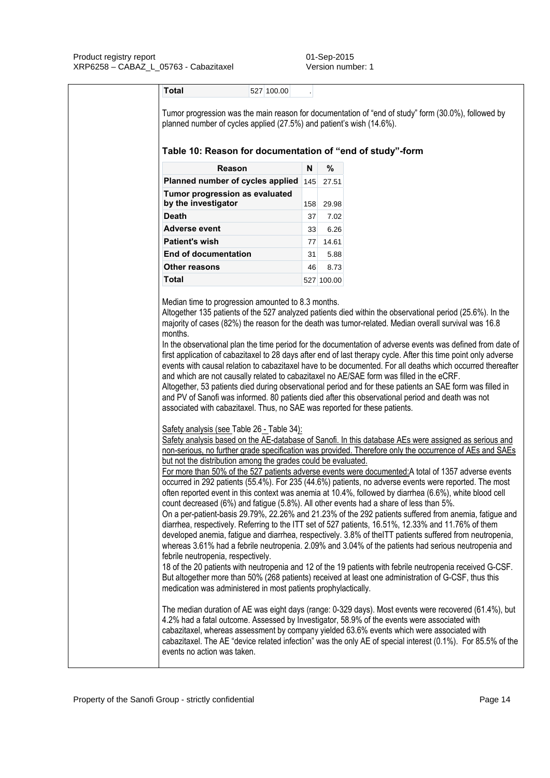| planned number of cycles applied (27.5%) and patient's wish (14.6%).<br>Table 10: Reason for documentation of "end of study"-form                                                                                                                                                                                                                                                                                                                                                                                                                                                                                                                                                                                                                                                                                                                                                                                                                                                                                                                                                                                                                                                                                                                                                                                                                                                                                                                                                                                                                                                                                                                                                                                                                                                                                        |               |                                                                                                            |  |  |  |
|--------------------------------------------------------------------------------------------------------------------------------------------------------------------------------------------------------------------------------------------------------------------------------------------------------------------------------------------------------------------------------------------------------------------------------------------------------------------------------------------------------------------------------------------------------------------------------------------------------------------------------------------------------------------------------------------------------------------------------------------------------------------------------------------------------------------------------------------------------------------------------------------------------------------------------------------------------------------------------------------------------------------------------------------------------------------------------------------------------------------------------------------------------------------------------------------------------------------------------------------------------------------------------------------------------------------------------------------------------------------------------------------------------------------------------------------------------------------------------------------------------------------------------------------------------------------------------------------------------------------------------------------------------------------------------------------------------------------------------------------------------------------------------------------------------------------------|---------------|------------------------------------------------------------------------------------------------------------|--|--|--|
| Reason                                                                                                                                                                                                                                                                                                                                                                                                                                                                                                                                                                                                                                                                                                                                                                                                                                                                                                                                                                                                                                                                                                                                                                                                                                                                                                                                                                                                                                                                                                                                                                                                                                                                                                                                                                                                                   | N             | %                                                                                                          |  |  |  |
| Planned number of cycles applied                                                                                                                                                                                                                                                                                                                                                                                                                                                                                                                                                                                                                                                                                                                                                                                                                                                                                                                                                                                                                                                                                                                                                                                                                                                                                                                                                                                                                                                                                                                                                                                                                                                                                                                                                                                         | $ 145 $ 27.51 |                                                                                                            |  |  |  |
| Tumor progression as evaluated<br>by the investigator                                                                                                                                                                                                                                                                                                                                                                                                                                                                                                                                                                                                                                                                                                                                                                                                                                                                                                                                                                                                                                                                                                                                                                                                                                                                                                                                                                                                                                                                                                                                                                                                                                                                                                                                                                    | 158 29.98     |                                                                                                            |  |  |  |
| <b>Death</b>                                                                                                                                                                                                                                                                                                                                                                                                                                                                                                                                                                                                                                                                                                                                                                                                                                                                                                                                                                                                                                                                                                                                                                                                                                                                                                                                                                                                                                                                                                                                                                                                                                                                                                                                                                                                             | 37            | 7.02                                                                                                       |  |  |  |
| Adverse event                                                                                                                                                                                                                                                                                                                                                                                                                                                                                                                                                                                                                                                                                                                                                                                                                                                                                                                                                                                                                                                                                                                                                                                                                                                                                                                                                                                                                                                                                                                                                                                                                                                                                                                                                                                                            | 33            | 6.26                                                                                                       |  |  |  |
| <b>Patient's wish</b>                                                                                                                                                                                                                                                                                                                                                                                                                                                                                                                                                                                                                                                                                                                                                                                                                                                                                                                                                                                                                                                                                                                                                                                                                                                                                                                                                                                                                                                                                                                                                                                                                                                                                                                                                                                                    | 77            | 14.61                                                                                                      |  |  |  |
| <b>End of documentation</b>                                                                                                                                                                                                                                                                                                                                                                                                                                                                                                                                                                                                                                                                                                                                                                                                                                                                                                                                                                                                                                                                                                                                                                                                                                                                                                                                                                                                                                                                                                                                                                                                                                                                                                                                                                                              | 31            | 5.88                                                                                                       |  |  |  |
| <b>Other reasons</b>                                                                                                                                                                                                                                                                                                                                                                                                                                                                                                                                                                                                                                                                                                                                                                                                                                                                                                                                                                                                                                                                                                                                                                                                                                                                                                                                                                                                                                                                                                                                                                                                                                                                                                                                                                                                     | 46            | 8.73                                                                                                       |  |  |  |
| <b>Total</b>                                                                                                                                                                                                                                                                                                                                                                                                                                                                                                                                                                                                                                                                                                                                                                                                                                                                                                                                                                                                                                                                                                                                                                                                                                                                                                                                                                                                                                                                                                                                                                                                                                                                                                                                                                                                             | 527 100.00    |                                                                                                            |  |  |  |
|                                                                                                                                                                                                                                                                                                                                                                                                                                                                                                                                                                                                                                                                                                                                                                                                                                                                                                                                                                                                                                                                                                                                                                                                                                                                                                                                                                                                                                                                                                                                                                                                                                                                                                                                                                                                                          |               | In the observational plan the time period for the documentation of adverse events was defined from date of |  |  |  |
|                                                                                                                                                                                                                                                                                                                                                                                                                                                                                                                                                                                                                                                                                                                                                                                                                                                                                                                                                                                                                                                                                                                                                                                                                                                                                                                                                                                                                                                                                                                                                                                                                                                                                                                                                                                                                          |               |                                                                                                            |  |  |  |
| first application of cabazitaxel to 28 days after end of last therapy cycle. After this time point only adverse<br>events with causal relation to cabazitaxel have to be documented. For all deaths which occurred thereafter<br>and which are not causally related to cabazitaxel no AE/SAE form was filled in the eCRF.<br>Altogether, 53 patients died during observational period and for these patients an SAE form was filled in<br>and PV of Sanofi was informed. 80 patients died after this observational period and death was not<br>associated with cabazitaxel. Thus, no SAE was reported for these patients.<br>Safety analysis (see Table 26 - Table 34):<br>Safety analysis based on the AE-database of Sanofi. In this database AEs were assigned as serious and<br>non-serious, no further grade specification was provided. Therefore only the occurrence of AEs and SAEs<br>but not the distribution among the grades could be evaluated.<br>For more than 50% of the 527 patients adverse events were documented: A total of 1357 adverse events<br>occurred in 292 patients (55.4%). For 235 (44.6%) patients, no adverse events were reported. The most<br>often reported event in this context was anemia at 10.4%, followed by diarrhea (6.6%), white blood cell<br>count decreased (6%) and fatigue (5.8%). All other events had a share of less than 5%.<br>On a per-patient-basis 29.79%, 22.26% and 21.23% of the 292 patients suffered from anemia, fatigue and<br>diarrhea, respectively. Referring to the ITT set of 527 patients, 16.51%, 12.33% and 11.76% of them<br>developed anemia, fatigue and diarrhea, respectively. 3.8% of the ITT patients suffered from neutropenia,<br>whereas 3.61% had a febrile neutropenia. 2.09% and 3.04% of the patients had serious neutropenia and |               |                                                                                                            |  |  |  |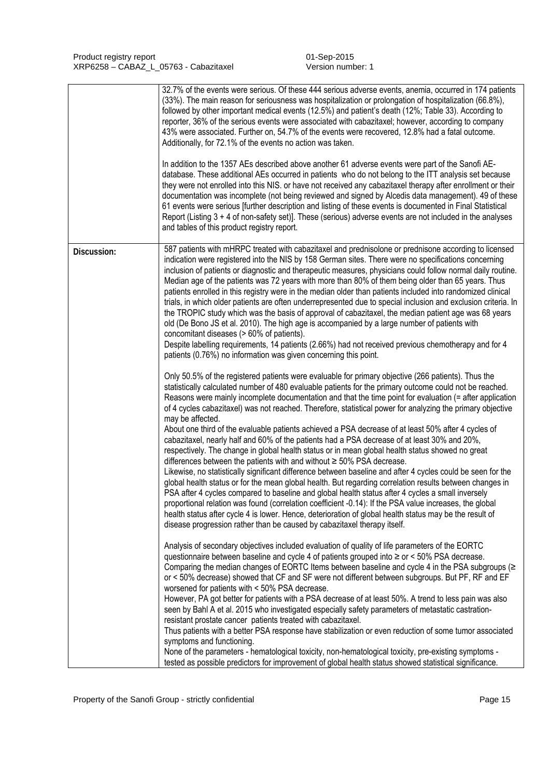|             | 32.7% of the events were serious. Of these 444 serious adverse events, anemia, occurred in 174 patients<br>(33%). The main reason for seriousness was hospitalization or prolongation of hospitalization (66.8%),<br>followed by other important medical events (12.5%) and patient's death (12%; Table 33). According to<br>reporter, 36% of the serious events were associated with cabazitaxel; however, according to company<br>43% were associated. Further on, 54.7% of the events were recovered, 12.8% had a fatal outcome.<br>Additionally, for 72.1% of the events no action was taken.<br>In addition to the 1357 AEs described above another 61 adverse events were part of the Sanofi AE-<br>database. These additional AEs occurred in patients who do not belong to the ITT analysis set because<br>they were not enrolled into this NIS. or have not received any cabazitaxel therapy after enrollment or their<br>documentation was incomplete (not being reviewed and signed by Alcedis data management). 49 of these<br>61 events were serious [further description and listing of these events is documented in Final Statistical<br>Report (Listing 3 + 4 of non-safety set)]. These (serious) adverse events are not included in the analyses<br>and tables of this product registry report.                                                                                                                                                                      |
|-------------|-----------------------------------------------------------------------------------------------------------------------------------------------------------------------------------------------------------------------------------------------------------------------------------------------------------------------------------------------------------------------------------------------------------------------------------------------------------------------------------------------------------------------------------------------------------------------------------------------------------------------------------------------------------------------------------------------------------------------------------------------------------------------------------------------------------------------------------------------------------------------------------------------------------------------------------------------------------------------------------------------------------------------------------------------------------------------------------------------------------------------------------------------------------------------------------------------------------------------------------------------------------------------------------------------------------------------------------------------------------------------------------------------------------------------------------------------------------------------------------------|
| Discussion: | 587 patients with mHRPC treated with cabazitaxel and prednisolone or prednisone according to licensed<br>indication were registered into the NIS by 158 German sites. There were no specifications concerning<br>inclusion of patients or diagnostic and therapeutic measures, physicians could follow normal daily routine.<br>Median age of the patients was 72 years with more than 80% of them being older than 65 years. Thus<br>patients enrolled in this registry were in the median older than patients included into randomized clinical<br>trials, in which older patients are often underrepresented due to special inclusion and exclusion criteria. In<br>the TROPIC study which was the basis of approval of cabazitaxel, the median patient age was 68 years<br>old (De Bono JS et al. 2010). The high age is accompanied by a large number of patients with<br>concomitant diseases (> 60% of patients).<br>Despite labelling requirements, 14 patients (2.66%) had not received previous chemotherapy and for 4<br>patients (0.76%) no information was given concerning this point.                                                                                                                                                                                                                                                                                                                                                                                    |
|             | Only 50.5% of the registered patients were evaluable for primary objective (266 patients). Thus the<br>statistically calculated number of 480 evaluable patients for the primary outcome could not be reached.<br>Reasons were mainly incomplete documentation and that the time point for evaluation (= after application<br>of 4 cycles cabazitaxel) was not reached. Therefore, statistical power for analyzing the primary objective<br>may be affected.<br>About one third of the evaluable patients achieved a PSA decrease of at least 50% after 4 cycles of<br>cabazitaxel, nearly half and 60% of the patients had a PSA decrease of at least 30% and 20%,<br>respectively. The change in global health status or in mean global health status showed no great<br>differences between the patients with and without $\geq$ 50% PSA decrease.<br>Likewise, no statistically significant difference between baseline and after 4 cycles could be seen for the<br>global health status or for the mean global health. But regarding correlation results between changes in<br>PSA after 4 cycles compared to baseline and global health status after 4 cycles a small inversely<br>proportional relation was found (correlation coefficient -0.14): If the PSA value increases, the global<br>health status after cycle 4 is lower. Hence, deterioration of global health status may be the result of<br>disease progression rather than be caused by cabazitaxel therapy itself. |
|             | Analysis of secondary objectives included evaluation of quality of life parameters of the EORTC<br>questionnaire between baseline and cycle 4 of patients grouped into ≥ or < 50% PSA decrease.<br>Comparing the median changes of EORTC Items between baseline and cycle 4 in the PSA subgroups ( $\geq$<br>or < 50% decrease) showed that CF and SF were not different between subgroups. But PF, RF and EF<br>worsened for patients with < 50% PSA decrease.<br>However, PA got better for patients with a PSA decrease of at least 50%. A trend to less pain was also<br>seen by Bahl A et al. 2015 who investigated especially safety parameters of metastatic castration-<br>resistant prostate cancer patients treated with cabazitaxel.<br>Thus patients with a better PSA response have stabilization or even reduction of some tumor associated<br>symptoms and functioning.<br>None of the parameters - hematological toxicity, non-hematological toxicity, pre-existing symptoms -<br>tested as possible predictors for improvement of global health status showed statistical significance.                                                                                                                                                                                                                                                                                                                                                                                |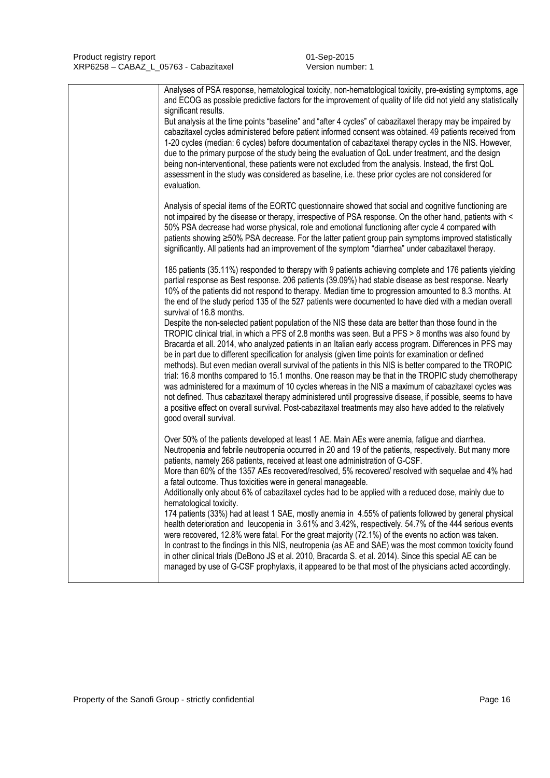|  | Analyses of PSA response, hematological toxicity, non-hematological toxicity, pre-existing symptoms, age<br>and ECOG as possible predictive factors for the improvement of quality of life did not yield any statistically<br>significant results.<br>But analysis at the time points "baseline" and "after 4 cycles" of cabazitaxel therapy may be impaired by<br>cabazitaxel cycles administered before patient informed consent was obtained. 49 patients received from<br>1-20 cycles (median: 6 cycles) before documentation of cabazitaxel therapy cycles in the NIS. However,<br>due to the primary purpose of the study being the evaluation of QoL under treatment, and the design<br>being non-interventional, these patients were not excluded from the analysis. Instead, the first QoL<br>assessment in the study was considered as baseline, i.e. these prior cycles are not considered for<br>evaluation.                                                                                                                                                                                                                                                                                                                                                                                                                                                                                                                                                    |
|--|-----------------------------------------------------------------------------------------------------------------------------------------------------------------------------------------------------------------------------------------------------------------------------------------------------------------------------------------------------------------------------------------------------------------------------------------------------------------------------------------------------------------------------------------------------------------------------------------------------------------------------------------------------------------------------------------------------------------------------------------------------------------------------------------------------------------------------------------------------------------------------------------------------------------------------------------------------------------------------------------------------------------------------------------------------------------------------------------------------------------------------------------------------------------------------------------------------------------------------------------------------------------------------------------------------------------------------------------------------------------------------------------------------------------------------------------------------------------------------|
|  | Analysis of special items of the EORTC questionnaire showed that social and cognitive functioning are<br>not impaired by the disease or therapy, irrespective of PSA response. On the other hand, patients with <<br>50% PSA decrease had worse physical, role and emotional functioning after cycle 4 compared with<br>patients showing ≥50% PSA decrease. For the latter patient group pain symptoms improved statistically<br>significantly. All patients had an improvement of the symptom "diarrhea" under cabazitaxel therapy.                                                                                                                                                                                                                                                                                                                                                                                                                                                                                                                                                                                                                                                                                                                                                                                                                                                                                                                                        |
|  | 185 patients (35.11%) responded to therapy with 9 patients achieving complete and 176 patients yielding<br>partial response as Best response. 206 patients (39.09%) had stable disease as best response. Nearly<br>10% of the patients did not respond to therapy. Median time to progression amounted to 8.3 months. At<br>the end of the study period 135 of the 527 patients were documented to have died with a median overall<br>survival of 16.8 months.<br>Despite the non-selected patient population of the NIS these data are better than those found in the<br>TROPIC clinical trial, in which a PFS of 2.8 months was seen. But a PFS > 8 months was also found by<br>Bracarda et all. 2014, who analyzed patients in an Italian early access program. Differences in PFS may<br>be in part due to different specification for analysis (given time points for examination or defined<br>methods). But even median overall survival of the patients in this NIS is better compared to the TROPIC<br>trial: 16.8 months compared to 15.1 months. One reason may be that in the TROPIC study chemotherapy<br>was administered for a maximum of 10 cycles whereas in the NIS a maximum of cabazitaxel cycles was<br>not defined. Thus cabazitaxel therapy administered until progressive disease, if possible, seems to have<br>a positive effect on overall survival. Post-cabazitaxel treatments may also have added to the relatively<br>good overall survival. |
|  | Over 50% of the patients developed at least 1 AE. Main AEs were anemia, fatigue and diarrhea.<br>Neutropenia and febrile neutropenia occurred in 20 and 19 of the patients, respectively. But many more<br>patients, namely 268 patients, received at least one administration of G-CSF.<br>More than 60% of the 1357 AEs recovered/resolved, 5% recovered/ resolved with sequelae and 4% had<br>a fatal outcome. Thus toxicities were in general manageable.<br>Additionally only about 6% of cabazitaxel cycles had to be applied with a reduced dose, mainly due to<br>hematological toxicity.<br>174 patients (33%) had at least 1 SAE, mostly anemia in 4.55% of patients followed by general physical<br>health deterioration and leucopenia in 3.61% and 3.42%, respectively. 54.7% of the 444 serious events<br>were recovered, 12.8% were fatal. For the great majority (72.1%) of the events no action was taken.<br>In contrast to the findings in this NIS, neutropenia (as AE and SAE) was the most common toxicity found<br>in other clinical trials (DeBono JS et al. 2010, Bracarda S. et al. 2014). Since this special AE can be<br>managed by use of G-CSF prophylaxis, it appeared to be that most of the physicians acted accordingly.                                                                                                                                                                                                                  |